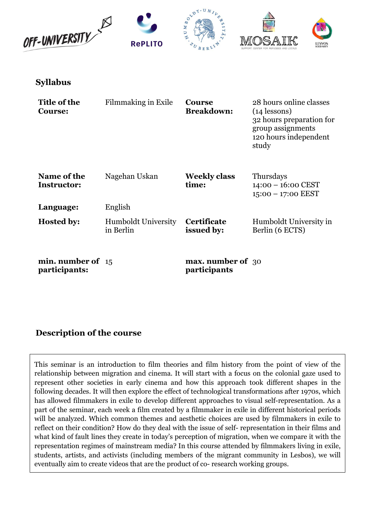

Syllabus

| Title of the<br><b>Course:</b>       | Filmmaking in Exile                     | <b>Course</b><br><b>Breakdown:</b>       | 28 hours online classes<br>$(14$ lessons)<br>32 hours preparation for<br>group assignments<br>120 hours independent<br>study |
|--------------------------------------|-----------------------------------------|------------------------------------------|------------------------------------------------------------------------------------------------------------------------------|
| Name of the<br>Instructor:           | Nagehan Uskan                           | <b>Weekly class</b><br>time:             | Thursdays<br>$14:00 - 16:00$ CEST<br>$15:00 - 17:00$ EEST                                                                    |
| Language:                            | English                                 |                                          |                                                                                                                              |
| <b>Hosted by:</b>                    | <b>Humboldt University</b><br>in Berlin | <b>Certificate</b><br>issued by:         | Humboldt University in<br>Berlin (6 ECTS)                                                                                    |
| min. number of $15$<br>participants: |                                         | <b>max.</b> number of 30<br>participants |                                                                                                                              |

# Description of the course

This seminar is an introduction to film theories and film history from the point of view of the relationship between migration and cinema. It will start with a focus on the colonial gaze used to represent other societies in early cinema and how this approach took different shapes in the following decades. It will then explore the effect of technological transformations after 1970s, which has allowed filmmakers in exile to develop different approaches to visual self-representation. As a part of the seminar, each week a film created by a filmmaker in exile in different historical periods will be analyzed. Which common themes and aesthetic choices are used by filmmakers in exile to reflect on their condition? How do they deal with the issue of self- representation in their films and what kind of fault lines they create in today's perception of migration, when we compare it with the representation regimes of mainstream media? In this course attended by filmmakers living in exile, students, artists, and activists (including members of the migrant community in Lesbos), we will eventually aim to create videos that are the product of co- research working groups.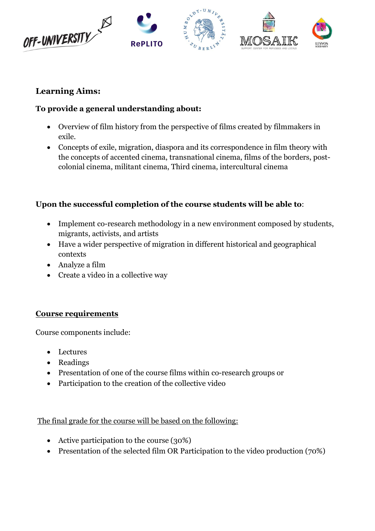

# Learning Aims:

# To provide a general understanding about:

- Overview of film history from the perspective of films created by filmmakers in exile.
- Concepts of exile, migration, diaspora and its correspondence in film theory with the concepts of accented cinema, transnational cinema, films of the borders, postcolonial cinema, militant cinema, Third cinema, intercultural cinema

# Upon the successful completion of the course students will be able to:

- Implement co-research methodology in a new environment composed by students, migrants, activists, and artists
- Have a wider perspective of migration in different historical and geographical contexts
- Analyze a film
- Create a video in a collective way

### Course requirements

Course components include:

- Lectures
- Readings
- Presentation of one of the course films within co-research groups or
- Participation to the creation of the collective video

The final grade for the course will be based on the following:

- Active participation to the course (30%)
- Presentation of the selected film OR Participation to the video production (70%)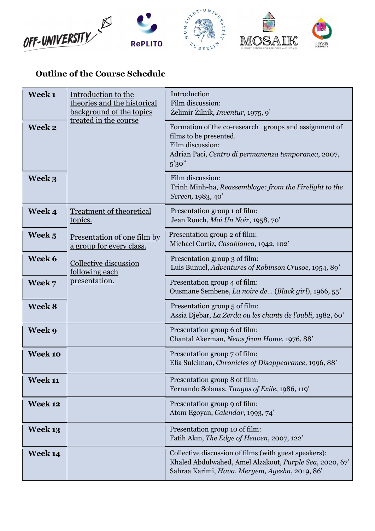

# Outline of the Course Schedule

| Week <sub>1</sub> | Introduction to the<br>theories and the historical<br>background of the topics | Introduction<br>Film discussion:<br>Želimir Žilnik, <i>Inventur</i> , 1975, 9'                                                                                       |  |
|-------------------|--------------------------------------------------------------------------------|----------------------------------------------------------------------------------------------------------------------------------------------------------------------|--|
| Week 2            | treated in the course                                                          | Formation of the co-research groups and assignment of<br>films to be presented.<br>Film discussion:<br>Adrian Paci, Centro di permanenza temporanea, 2007,<br>5'30'' |  |
| Week 3            |                                                                                | Film discussion:<br>Trinh Minh-ha, Reassemblage: from the Firelight to the<br>Screen, 1983, 40'                                                                      |  |
| Week 4            | <b>Treatment of theoretical</b><br>topics.                                     | Presentation group 1 of film:<br>Jean Rouch, Moi Un Noir, 1958, 70'                                                                                                  |  |
| Week 5            | Presentation of one film by<br>a group for every class.                        | Presentation group 2 of film:<br>Michael Curtiz, Casablanca, 1942, 102'                                                                                              |  |
| Week 6            | Collective discussion<br>following each                                        | Presentation group 3 of film:<br>Luis Bunuel, Adventures of Robinson Crusoe, 1954, 89'                                                                               |  |
| Week 7            | presentation.                                                                  | Presentation group 4 of film:<br>Ousmane Sembene, La noire de (Black girl), 1966, 55'                                                                                |  |
| Week 8            |                                                                                | Presentation group 5 of film:<br>Assia Djebar, La Zerda ou les chants de l'oubli, 1982, 60'                                                                          |  |
| Week 9            |                                                                                | Presentation group 6 of film:<br>Chantal Akerman, News from Home, 1976, 88'                                                                                          |  |
| Week 10           |                                                                                | Presentation group 7 of film:<br>Elia Suleiman, Chronicles of Disappearance, 1996, 88'                                                                               |  |
| Week 11           |                                                                                | Presentation group 8 of film:<br>Fernando Solanas, Tangos of Exile, 1986, 119'                                                                                       |  |
| Week 12           |                                                                                | Presentation group 9 of film:<br>Atom Egoyan, Calendar, 1993, 74'                                                                                                    |  |
| <b>Week 13</b>    |                                                                                | Presentation group 10 of film:<br>Fatih Akın, The Edge of Heaven, 2007, 122'                                                                                         |  |
| <b>Week 14</b>    |                                                                                | Collective discussion of films (with guest speakers):<br>Khaled Abdulwahed, Amel Alzakout, Purple Sea, 2020, 67<br>Sahraa Karimi, Hava, Meryem, Ayesha, 2019, 86'    |  |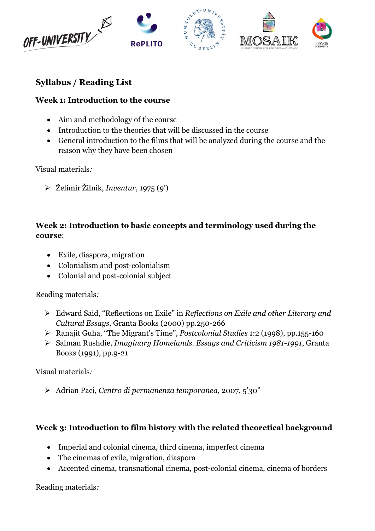

# Syllabus / Reading List

#### Week 1: Introduction to the course

- Aim and methodology of the course
- Introduction to the theories that will be discussed in the course
- General introduction to the films that will be analyzed during the course and the reason why they have been chosen

Visual materials:

Želimir Žilnik, Inventur, 1975 (9')

### Week 2: Introduction to basic concepts and terminology used during the course:

- Exile, diaspora, migration
- Colonialism and post-colonialism
- Colonial and post-colonial subject

Reading materials:

- Edward Said, "Reflections on Exile" in Reflections on Exile and other Literary and Cultural Essays, Granta Books (2000) pp.250-266
- Ranajit Guha, "The Migrant's Time", Postcolonial Studies 1:2 (1998), pp.155-160
- Salman Rushdie, Imaginary Homelands. Essays and Criticism 1981-1991, Granta Books (1991), pp.9-21

Visual materials:

Adrian Paci, Centro di permanenza temporanea, 2007, 5'30"

### Week 3: Introduction to film history with the related theoretical background

- Imperial and colonial cinema, third cinema, imperfect cinema
- The cinemas of exile, migration, diaspora
- Accented cinema, transnational cinema, post-colonial cinema, cinema of borders

Reading materials: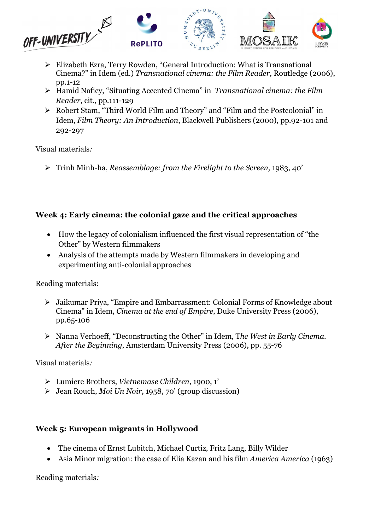

- Elizabeth Ezra, Terry Rowden, "General Introduction: What is Transnational Cinema?" in Idem (ed.) Transnational cinema: the Film Reader, Routledge (2006), pp.1-12
- $\triangleright$  Hamid Naficy, "Situating Accented Cinema" in Transnational cinema: the Film Reader, cit., pp.111-129
- Robert Stam, "Third World Film and Theory" and "Film and the Postcolonial" in Idem, Film Theory: An Introduction, Blackwell Publishers (2000), pp.92-101 and 292-297

Visual materials:

 $\triangleright$  Trinh Minh-ha, Reassemblage: from the Firelight to the Screen, 1983, 40'

# Week 4: Early cinema: the colonial gaze and the critical approaches

- How the legacy of colonialism influenced the first visual representation of "the Other" by Western filmmakers
- Analysis of the attempts made by Western filmmakers in developing and experimenting anti-colonial approaches

Reading materials:

- Jaikumar Priya, "Empire and Embarrassment: Colonial Forms of Knowledge about Cinema" in Idem, Cinema at the end of Empire, Duke University Press (2006), pp.65-106
- $\triangleright$  Nanna Verhoeff, "Deconstructing the Other" in Idem, The West in Early Cinema. After the Beginning, Amsterdam University Press (2006), pp. 55-76

Visual materials:

- Lumiere Brothers, Vietnemase Children, 1900, 1'
- $\triangleright$  Jean Rouch, *Moi Un Noir*, 1958, 70' (group discussion)

# Week 5: European migrants in Hollywood

- The cinema of Ernst Lubitch, Michael Curtiz, Fritz Lang, Billy Wilder
- Asia Minor migration: the case of Elia Kazan and his film *America America* (1963)

Reading materials: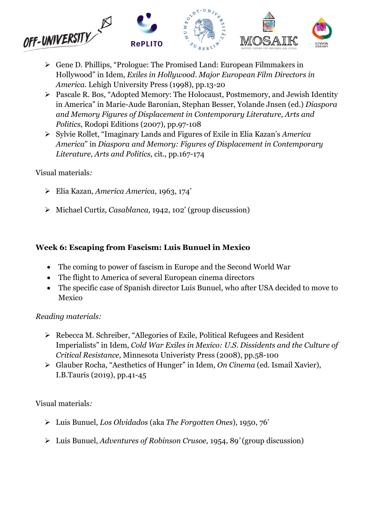

- Gene D. Phillips, "Prologue: The Promised Land: European Filmmakers in Hollywood" in Idem, Exiles in Hollywood. Major European Film Directors in America. Lehigh University Press (1998), pp.13-20
- Pascale R. Bos, "Adopted Memory: The Holocaust, Postmemory, and Jewish Identity in America" in Marie-Aude Baronian, Stephan Besser, Yolande Jnsen (ed.) Diaspora and Memory Figures of Displacement in Contemporary Literature, Arts and Politics, Rodopi Editions (2007), pp.97-108
- $\triangleright$  Sylvie Rollet, "Imaginary Lands and Figures of Exile in Elia Kazan's America America" in Diaspora and Memory: Figures of Displacement in Contemporary Literature, Arts and Politics, cit., pp.167-174

#### Visual materials:

- Elia Kazan, America America, 1963, 174'
- Michael Curtiz, Casablanca, 1942, 102' (group discussion)

### Week 6: Escaping from Fascism: Luis Bunuel in Mexico

- The coming to power of fascism in Europe and the Second World War
- The flight to America of several European cinema directors
- The specific case of Spanish director Luis Bunuel, who after USA decided to move to Mexico

### Reading materials:

- Rebecca M. Schreiber, "Allegories of Exile, Political Refugees and Resident Imperialists" in Idem, Cold War Exiles in Mexico: U.S. Dissidents and the Culture of Critical Resistance, Minnesota Univeristy Press (2008), pp.58-100
- Glauber Rocha, "Aesthetics of Hunger" in Idem, On Cinema (ed. Ismail Xavier), I.B.Tauris (2019), pp.41-45

- Luis Bunuel, Los Olvidados (aka The Forgotten Ones), 1950, 76'
- Luis Bunuel, Adventures of Robinson Crusoe, 1954, 89' (group discussion)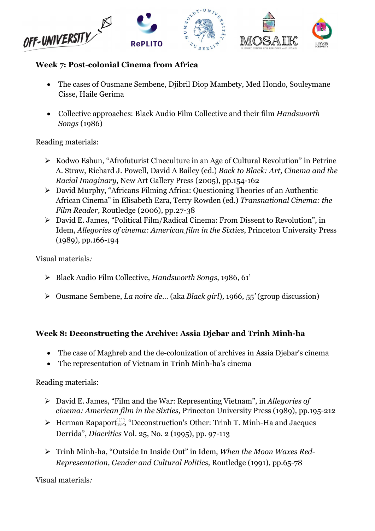

#### Week 7: Post-colonial Cinema from Africa

- The cases of Ousmane Sembene, Djibril Diop Mambety, Med Hondo, Souleymane Cisse, Haile Gerima
- Collective approaches: Black Audio Film Collective and their film Handsworth Songs (1986)

Reading materials:

- $\triangleright$  Kodwo Eshun, "Afrofuturist Cineculture in an Age of Cultural Revolution" in Petrine A. Straw, Richard J. Powell, David A Bailey (ed.) Back to Black: Art, Cinema and the Racial Imaginary, New Art Gallery Press (2005), pp.154-162
- David Murphy, "Africans Filming Africa: Questioning Theories of an Authentic African Cinema" in Elisabeth Ezra, Terry Rowden (ed.) Transnational Cinema: the Film Reader, Routledge (2006), pp.27-38
- David E. James, "Political Film/Radical Cinema: From Dissent to Revolution", in Idem, Allegories of cinema: American film in the Sixties, Princeton University Press (1989), pp.166-194

Visual materials:

- Black Audio Film Collective, Handsworth Songs, 1986, 61'
- $\triangleright$  Ousmane Sembene, *La noire de...* (aka *Black girl*), 1966, 55' (group discussion)

#### Week 8: Deconstructing the Archive: Assia Djebar and Trinh Minh-ha

- The case of Maghreb and the de-colonization of archives in Assia Djebar's cinema
- The representation of Vietnam in Trinh Minh-ha's cinema

Reading materials:

- David E. James, "Film and the War: Representing Vietnam", in Allegories of cinema: American film in the Sixties, Princeton University Press (1989), pp.195-212
- ▶ Herman Rapaport<sup>[11</sup>], "Deconstruction's Other: Trinh T. Minh-Ha and Jacques Derrida", Diacritics Vol. 25, No. 2 (1995), pp. 97-113
- > Trinh Minh-ha, "Outside In Inside Out" in Idem, When the Moon Waxes Red-Representation, Gender and Cultural Politics, Routledge (1991), pp.65-78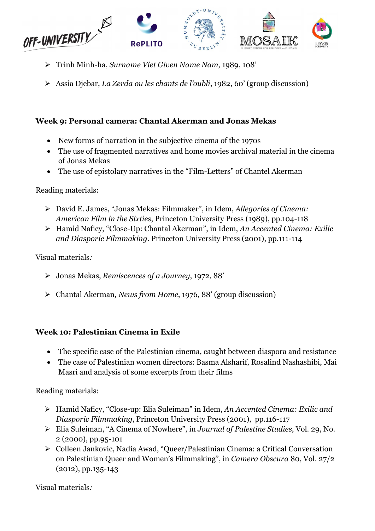

- Trinh Minh-ha, Surname Viet Given Name Nam, 1989, 108'
- Assia Djebar, La Zerda ou les chants de l'oubli, 1982, 60' (group discussion)

### Week 9: Personal camera: Chantal Akerman and Jonas Mekas

- New forms of narration in the subjective cinema of the 1970s
- The use of fragmented narratives and home movies archival material in the cinema of Jonas Mekas
- The use of epistolary narratives in the "Film-Letters" of Chantel Akerman

Reading materials:

- David E. James, "Jonas Mekas: Filmmaker", in Idem, Allegories of Cinema: American Film in the Sixties, Princeton University Press (1989), pp.104-118
- > Hamid Naficy, "Close-Up: Chantal Akerman", in Idem, An Accented Cinema: Exilic and Diasporic Filmmaking. Princeton University Press (2001), pp.111-114

Visual materials:

- Jonas Mekas, Remiscences of a Journey, 1972, 88'
- Chantal Akerman, News from Home, 1976, 88' (group discussion)

### Week 10: Palestinian Cinema in Exile

- The specific case of the Palestinian cinema, caught between diaspora and resistance
- The case of Palestinian women directors: Basma Alsharif, Rosalind Nashashibi, Mai Masri and analysis of some excerpts from their films

Reading materials:

- Hamid Naficy, "Close-up: Elia Suleiman" in Idem, An Accented Cinema: Exilic and Diasporic Filmmaking, Princeton University Press (2001), pp.116-117
- Elia Suleiman, "A Cinema of Nowhere", in Journal of Palestine Studies, Vol. 29, No. 2 (2000), pp.95-101
- Colleen Jankovic, Nadia Awad, "Queer/Palestinian Cinema: a Critical Conversation on Palestinian Queer and Women's Filmmaking", in Camera Obscura 80, Vol. 27/2 (2012), pp.135-143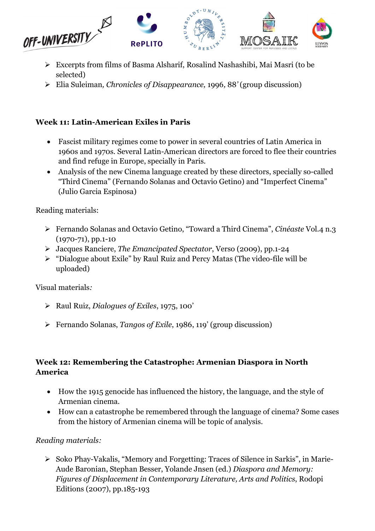

- Excerpts from films of Basma Alsharif, Rosalind Nashashibi, Mai Masri (to be selected)
- Elia Suleiman, Chronicles of Disappearance, 1996, 88' (group discussion)

# Week 11: Latin-American Exiles in Paris

- Fascist military regimes come to power in several countries of Latin America in 1960s and 1970s. Several Latin-American directors are forced to flee their countries and find refuge in Europe, specially in Paris.
- Analysis of the new Cinema language created by these directors, specially so-called "Third Cinema" (Fernando Solanas and Octavio Getino) and "Imperfect Cinema" (Julio Garcia Espinosa)

Reading materials:

- Fernando Solanas and Octavio Getino, "Toward a Third Cinema", Cinéaste Vol.4 n.3 (1970-71), pp.1-10
- Jacques Ranciere, The Emancipated Spectator, Verso (2009), pp.1-24
- "Dialogue about Exile" by Raul Ruiz and Percy Matas (The video-file will be uploaded)

Visual materials:

- $\triangleright$  Raul Ruiz, *Dialogues of Exiles*, 1975, 100'
- Fernando Solanas, Tangos of Exile, 1986, 119' (group discussion)

#### Week 12: Remembering the Catastrophe: Armenian Diaspora in North America

- How the 1915 genocide has influenced the history, the language, and the style of Armenian cinema.
- How can a catastrophe be remembered through the language of cinema? Some cases from the history of Armenian cinema will be topic of analysis.

### Reading materials:

 $\triangleright$  Soko Phay-Vakalis, "Memory and Forgetting: Traces of Silence in Sarkis", in Marie-Aude Baronian, Stephan Besser, Yolande Jnsen (ed.) Diaspora and Memory: Figures of Displacement in Contemporary Literature, Arts and Politics, Rodopi Editions (2007), pp.185-193